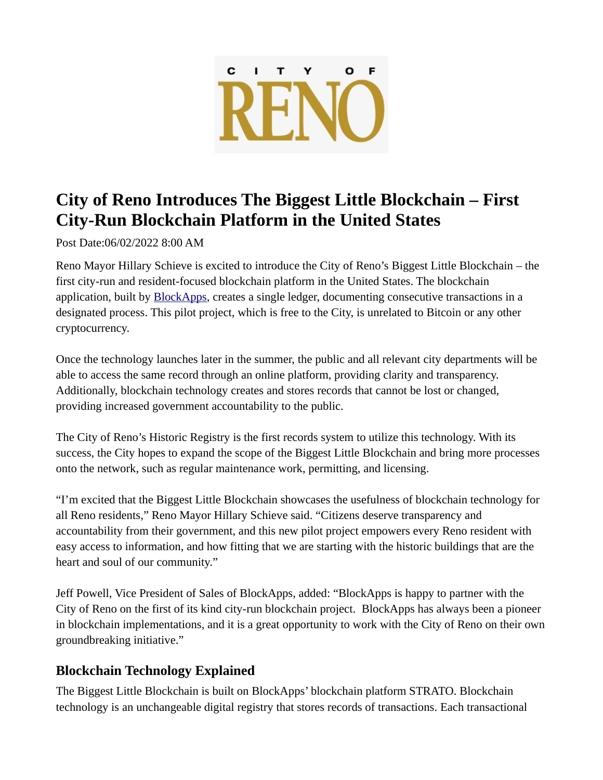

## **City of Reno Introduces The Biggest Little Blockchain – First City-Run Blockchain Platform in the United States**

Post Date:06/02/2022 8:00 AM

Reno Mayor Hillary Schieve is excited to introduce the City of Reno's Biggest Little Blockchain – the first city-run and resident-focused blockchain platform in the United States. The blockchain application, built by **BlockApps**, creates a single ledger, documenting consecutive transactions in a designated process. This pilot project, which is free to the City, is unrelated to Bitcoin or any other cryptocurrency.

Once the technology launches later in the summer, the public and all relevant city departments will be able to access the same record through an online platform, providing clarity and transparency. Additionally, blockchain technology creates and stores records that cannot be lost or changed, providing increased government accountability to the public.

The City of Reno's Historic Registry is the first records system to utilize this technology. With its success, the City hopes to expand the scope of the Biggest Little Blockchain and bring more processes onto the network, such as regular maintenance work, permitting, and licensing.

"I'm excited that the Biggest Little Blockchain showcases the usefulness of blockchain technology for all Reno residents," Reno Mayor Hillary Schieve said. "Citizens deserve transparency and accountability from their government, and this new pilot project empowers every Reno resident with easy access to information, and how fitting that we are starting with the historic buildings that are the heart and soul of our community."

Jeff Powell, Vice President of Sales of BlockApps, added: "BlockApps is happy to partner with the City of Reno on the first of its kind city-run blockchain project. BlockApps has always been a pioneer in blockchain implementations, and it is a great opportunity to work with the City of Reno on their own groundbreaking initiative."

## **Blockchain Technology Explained**

The Biggest Little Blockchain is built on BlockApps' blockchain platform STRATO. Blockchain technology is an unchangeable digital registry that stores records of transactions. Each transactional